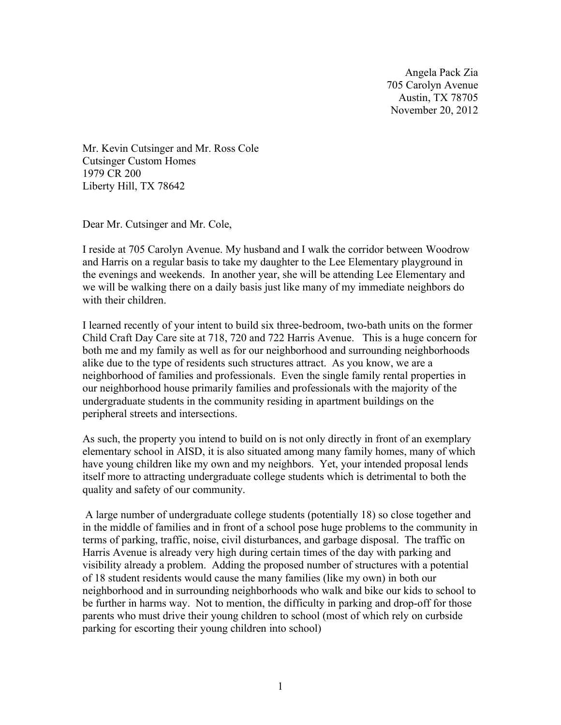Angela Pack Zia 705 Carolyn Avenue Austin, TX 78705 November 20, 2012

Mr. Kevin Cutsinger and Mr. Ross Cole Cutsinger Custom Homes 1979 CR 200 Liberty Hill, TX 78642

Dear Mr. Cutsinger and Mr. Cole,

I reside at 705 Carolyn Avenue. My husband and I walk the corridor between Woodrow and Harris on a regular basis to take my daughter to the Lee Elementary playground in the evenings and weekends. In another year, she will be attending Lee Elementary and we will be walking there on a daily basis just like many of my immediate neighbors do with their children.

I learned recently of your intent to build six three-bedroom, two-bath units on the former Child Craft Day Care site at 718, 720 and 722 Harris Avenue. This is a huge concern for both me and my family as well as for our neighborhood and surrounding neighborhoods alike due to the type of residents such structures attract. As you know, we are a neighborhood of families and professionals. Even the single family rental properties in our neighborhood house primarily families and professionals with the majority of the undergraduate students in the community residing in apartment buildings on the peripheral streets and intersections.

As such, the property you intend to build on is not only directly in front of an exemplary elementary school in AISD, it is also situated among many family homes, many of which have young children like my own and my neighbors. Yet, your intended proposal lends itself more to attracting undergraduate college students which is detrimental to both the quality and safety of our community.

 A large number of undergraduate college students (potentially 18) so close together and in the middle of families and in front of a school pose huge problems to the community in terms of parking, traffic, noise, civil disturbances, and garbage disposal. The traffic on Harris Avenue is already very high during certain times of the day with parking and visibility already a problem. Adding the proposed number of structures with a potential of 18 student residents would cause the many families (like my own) in both our neighborhood and in surrounding neighborhoods who walk and bike our kids to school to be further in harms way. Not to mention, the difficulty in parking and drop-off for those parents who must drive their young children to school (most of which rely on curbside parking for escorting their young children into school)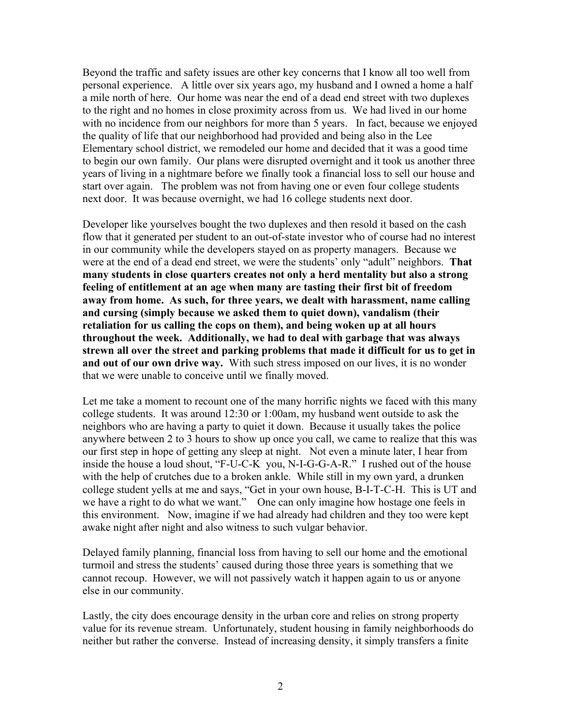Beyond the traffic and safety issues are other key concerns that I know all too well from personal experience. A little over six years ago, my husband and I owned a home a half a mile north of here. Our home was near the end of a dead end street with two duplexes to the right and no homes in close proximity across from us. We had lived in our home with no incidence from our neighbors for more than 5 years. In fact, because we enjoyed the quality of life that our neighborhood had provided and being also in the Lee Elementary school district, we remodeled our home and decided that it was a good time to begin our own family. Our plans were disrupted overnight and it took us another three years of living in a nightmare before we finally took a financial loss to sell our house and start over again. The problem was not from having one or even four college students next door. It was because overnight, we had 16 college students next door.

Developer like yourselves bought the two duplexes and then resold it based on the cash flow that it generated per student to an out-of-state investor who of course had no interest in our community while the developers stayed on as property managers. Because we were at the end of a dead end street, we were the students' only "adult" neighbors. **That many students in close quarters creates not only a herd mentality but also a strong feeling of entitlement at an age when many are tasting their first bit of freedom away from home. As such, for three years, we dealt with harassment, name calling and cursing (simply because we asked them to quiet down), vandalism (their retaliation for us calling the cops on them), and being woken up at all hours throughout the week. Additionally, we had to deal with garbage that was always strewn all over the street and parking problems that made it difficult for us to get in and out of our own drive way.** With such stress imposed on our lives, it is no wonder that we were unable to conceive until we finally moved.

Let me take a moment to recount one of the many horrific nights we faced with this many college students. It was around 12:30 or 1:00am, my husband went outside to ask the neighbors who are having a party to quiet it down. Because it usually takes the police anywhere between 2 to 3 hours to show up once you call, we came to realize that this was our first step in hope of getting any sleep at night. Not even a minute later, I hear from inside the house a loud shout, "F-U-C-K you, N-I-G-G-A-R." I rushed out of the house with the help of crutches due to a broken ankle. While still in my own yard, a drunken college student yells at me and says, "Get in your own house, B-I-T-C-H. This is UT and we have a right to do what we want." One can only imagine how hostage one feels in this environment. Now, imagine if we had already had children and they too were kept awake night after night and also witness to such vulgar behavior.

Delayed family planning, financial loss from having to sell our home and the emotional turmoil and stress the students' caused during those three years is something that we cannot recoup. However, we will not passively watch it happen again to us or anyone else in our community.

Lastly, the city does encourage density in the urban core and relies on strong property value for its revenue stream. Unfortunately, student housing in family neighborhoods do neither but rather the converse. Instead of increasing density, it simply transfers a finite